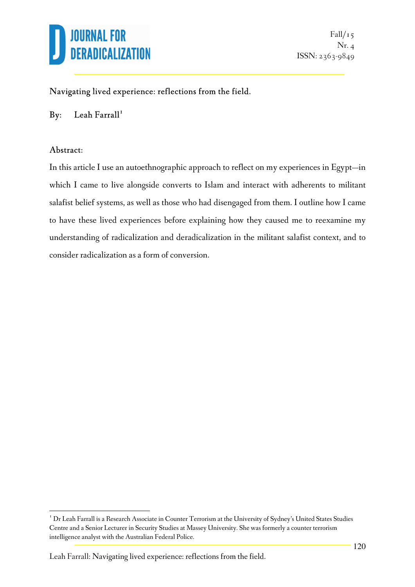

#### Navigating lived experience: reflections from the field.

#### By: Leah Farrall<sup>1</sup>

#### Abstract:

 $\overline{a}$ 

In this article I use an autoethnographic approach to reflect on my experiences in Egypt—in which I came to live alongside converts to Islam and interact with adherents to militant salafist belief systems, as well as those who had disengaged from them. I outline how I came to have these lived experiences before explaining how they caused me to reexamine my understanding of radicalization and deradicalization in the militant salafist context, and to consider radicalization as a form of conversion.

<sup>&</sup>lt;sup>1</sup> Dr Leah Farrall is a Research Associate in Counter Terrorism at the University of Sydney's United States Studies Centre and a Senior Lecturer in Security Studies at Massey University. She was formerly a counter terrorism intelligence analyst with the Australian Federal Police.

Leah Farrall: Navigating lived experience: reflections from the field.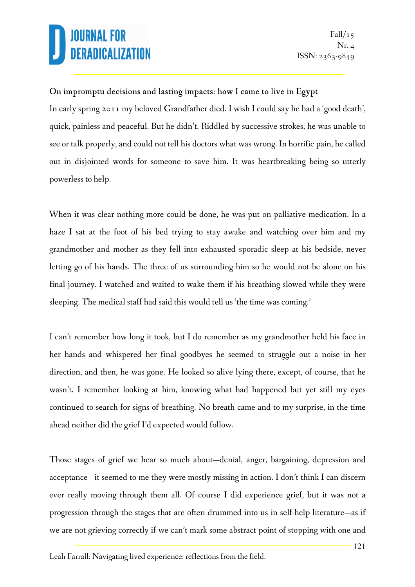#### On impromptu decisions and lasting impacts: how I came to live in Egypt

In early spring 2011 my beloved Grandfather died. I wish I could say he had a 'good death', quick, painless and peaceful. But he didn't. Riddled by successive strokes, he was unable to see or talk properly, and could not tell his doctors what was wrong. In horrific pain, he called out in disjointed words for someone to save him. It was heartbreaking being so utterly powerless to help.

When it was clear nothing more could be done, he was put on palliative medication. In a haze I sat at the foot of his bed trying to stay awake and watching over him and my grandmother and mother as they fell into exhausted sporadic sleep at his bedside, never letting go of his hands. The three of us surrounding him so he would not be alone on his final journey. I watched and waited to wake them if his breathing slowed while they were sleeping. The medical staff had said this would tell us 'the time was coming.'

I can't remember how long it took, but I do remember as my grandmother held his face in her hands and whispered her final goodbyes he seemed to struggle out a noise in her direction, and then, he was gone. He looked so alive lying there, except, of course, that he wasn't. I remember looking at him, knowing what had happened but yet still my eyes continued to search for signs of breathing. No breath came and to my surprise, in the time ahead neither did the grief I'd expected would follow.

Those stages of grief we hear so much about—denial, anger, bargaining, depression and acceptance—it seemed to me they were mostly missing in action. I don't think I can discern ever really moving through them all. Of course I did experience grief, but it was not a progression through the stages that are often drummed into us in self-help literature—as if we are not grieving correctly if we can't mark some abstract point of stopping with one and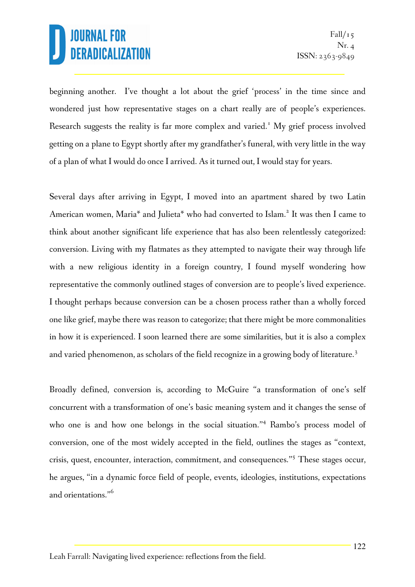beginning another. I've thought a lot about the grief 'process' in the time since and wondered just how representative stages on a chart really are of people's experiences. Research suggests the reality is far more complex and varied.<sup>1</sup> My grief process involved getting on a plane to Egypt shortly after my grandfather's funeral, with very little in the way of a plan of what I would do once I arrived. As it turned out, I would stay for years.

Several days after arriving in Egypt, I moved into an apartment shared by two Latin American women, Maria<sup>\*</sup> and Julieta<sup>\*</sup> who had converted to Islam.<sup>2</sup> It was then I came to think about another significant life experience that has also been relentlessly categorized: conversion. Living with my flatmates as they attempted to navigate their way through life with a new religious identity in a foreign country, I found myself wondering how representative the commonly outlined stages of conversion are to people's lived experience. I thought perhaps because conversion can be a chosen process rather than a wholly forced one like grief, maybe there was reason to categorize; that there might be more commonalities in how it is experienced. I soon learned there are some similarities, but it is also a complex and varied phenomenon, as scholars of the field recognize in a growing body of literature.<sup>3</sup>

Broadly defined, conversion is, according to McGuire "a transformation of one's self concurrent with a transformation of one's basic meaning system and it changes the sense of who one is and how one belongs in the social situation."<sup>4</sup> Rambo's process model of conversion, one of the most widely accepted in the field, outlines the stages as "context, crisis, quest, encounter, interaction, commitment, and consequences."<sup>5</sup> These stages occur, he argues, "in a dynamic force field of people, events, ideologies, institutions, expectations and orientations."<sup>6</sup>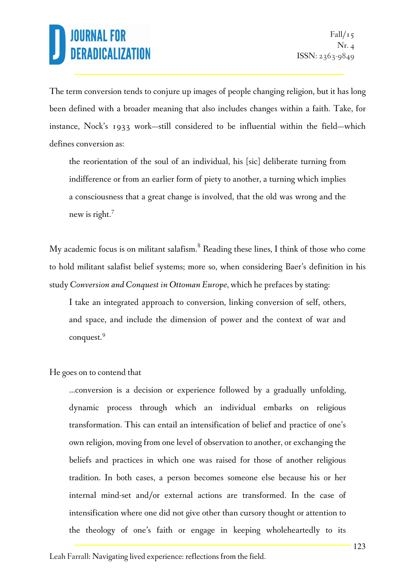The term conversion tends to conjure up images of people changing religion, but it has long been defined with a broader meaning that also includes changes within a faith. Take, for instance, Nock's 1933 work—still considered to be influential within the field—which defines conversion as:

the reorientation of the soul of an individual, his [sic] deliberate turning from indifference or from an earlier form of piety to another, a turning which implies a consciousness that a great change is involved, that the old was wrong and the new is right.<sup>7</sup>

My academic focus is on militant salafism. $^8$  Reading these lines, I think of those who come to hold militant salafist belief systems; more so, when considering Baer's definition in his study *Conversion and Conquest in Ottoman Europe*, which he prefaces by stating:

I take an integrated approach to conversion, linking conversion of self, others, and space, and include the dimension of power and the context of war and conquest.<sup>9</sup>

He goes on to contend that

…conversion is a decision or experience followed by a gradually unfolding, dynamic process through which an individual embarks on religious transformation. This can entail an intensification of belief and practice of one's own religion, moving from one level of observation to another, or exchanging the beliefs and practices in which one was raised for those of another religious tradition. In both cases, a person becomes someone else because his or her internal mind-set and/or external actions are transformed. In the case of intensification where one did not give other than cursory thought or attention to the theology of one's faith or engage in keeping wholeheartedly to its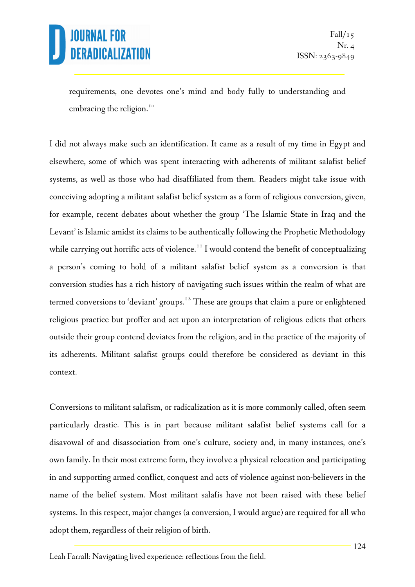requirements, one devotes one's mind and body fully to understanding and embracing the religion.<sup>10</sup>

I did not always make such an identification. It came as a result of my time in Egypt and elsewhere, some of which was spent interacting with adherents of militant salafist belief systems, as well as those who had disaffiliated from them. Readers might take issue with conceiving adopting a militant salafist belief system as a form of religious conversion, given, for example, recent debates about whether the group 'The Islamic State in Iraq and the Levant' is Islamic amidst its claims to be authentically following the Prophetic Methodology while carrying out horrific acts of violence.<sup>11</sup> I would contend the benefit of conceptualizing a person's coming to hold of a militant salafist belief system as a conversion is that conversion studies has a rich history of navigating such issues within the realm of what are termed conversions to 'deviant' groups.<sup>12</sup> These are groups that claim a pure or enlightened religious practice but proffer and act upon an interpretation of religious edicts that others outside their group contend deviates from the religion, and in the practice of the majority of its adherents. Militant salafist groups could therefore be considered as deviant in this context.

Conversions to militant salafism, or radicalization as it is more commonly called, often seem particularly drastic. This is in part because militant salafist belief systems call for a disavowal of and disassociation from one's culture, society and, in many instances, one's own family. In their most extreme form, they involve a physical relocation and participating in and supporting armed conflict, conquest and acts of violence against non-believers in the name of the belief system. Most militant salafis have not been raised with these belief systems. In this respect, major changes (a conversion, I would argue) are required for all who adopt them, regardless of their religion of birth.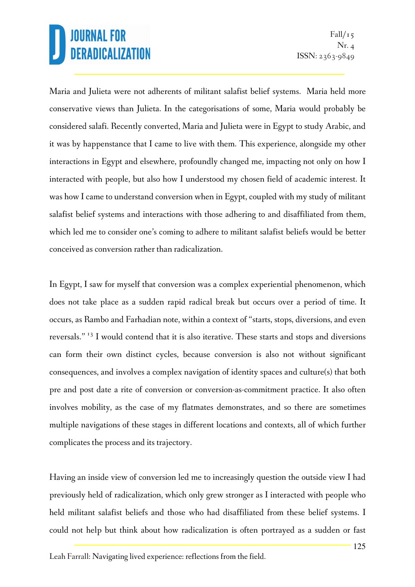Maria and Julieta were not adherents of militant salafist belief systems. Maria held more conservative views than Julieta. In the categorisations of some, Maria would probably be considered salafi. Recently converted, Maria and Julieta were in Egypt to study Arabic, and it was by happenstance that I came to live with them. This experience, alongside my other interactions in Egypt and elsewhere, profoundly changed me, impacting not only on how I interacted with people, but also how I understood my chosen field of academic interest. It was how I came to understand conversion when in Egypt, coupled with my study of militant salafist belief systems and interactions with those adhering to and disaffiliated from them, which led me to consider one's coming to adhere to militant salafist beliefs would be better conceived as conversion rather than radicalization.

In Egypt, I saw for myself that conversion was a complex experiential phenomenon, which does not take place as a sudden rapid radical break but occurs over a period of time. It occurs, as Rambo and Farhadian note, within a context of "starts, stops, diversions, and even reversals."<sup>13</sup> I would contend that it is also iterative. These starts and stops and diversions can form their own distinct cycles, because conversion is also not without significant consequences, and involves a complex navigation of identity spaces and culture(s) that both pre and post date a rite of conversion or conversion-as-commitment practice. It also often involves mobility, as the case of my flatmates demonstrates, and so there are sometimes multiple navigations of these stages in different locations and contexts, all of which further complicates the process and its trajectory.

Having an inside view of conversion led me to increasingly question the outside view I had previously held of radicalization, which only grew stronger as I interacted with people who held militant salafist beliefs and those who had disaffiliated from these belief systems. I could not help but think about how radicalization is often portrayed as a sudden or fast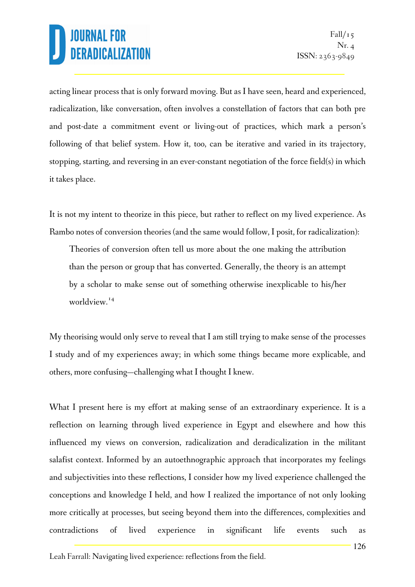acting linear process that is only forward moving. But as I have seen, heard and experienced, radicalization, like conversation, often involves a constellation of factors that can both pre and post-date a commitment event or living-out of practices, which mark a person's following of that belief system. How it, too, can be iterative and varied in its trajectory, stopping, starting, and reversing in an ever-constant negotiation of the force field(s) in which it takes place.

It is not my intent to theorize in this piece, but rather to reflect on my lived experience. As Rambo notes of conversion theories (and the same would follow, I posit, for radicalization):

Theories of conversion often tell us more about the one making the attribution than the person or group that has converted. Generally, the theory is an attempt by a scholar to make sense out of something otherwise inexplicable to his/her worldview.<sup>14</sup>

My theorising would only serve to reveal that I am still trying to make sense of the processes I study and of my experiences away; in which some things became more explicable, and others, more confusing—challenging what I thought I knew.

What I present here is my effort at making sense of an extraordinary experience. It is a reflection on learning through lived experience in Egypt and elsewhere and how this influenced my views on conversion, radicalization and deradicalization in the militant salafist context. Informed by an autoethnographic approach that incorporates my feelings and subjectivities into these reflections, I consider how my lived experience challenged the conceptions and knowledge I held, and how I realized the importance of not only looking more critically at processes, but seeing beyond them into the differences, complexities and contradictions of lived experience in significant life events such as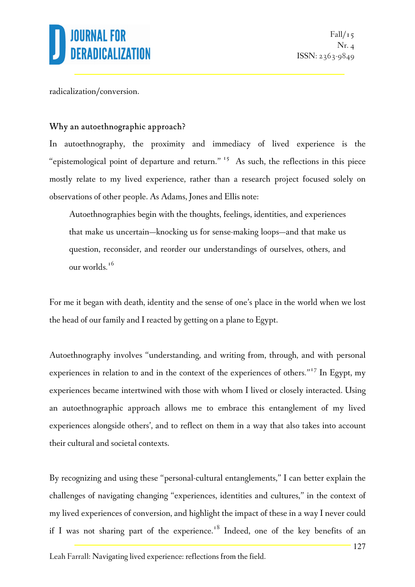

radicalization/conversion.

#### Why an autoethnographic approach?

In autoethnography, the proximity and immediacy of lived experience is the "epistemological point of departure and return."<sup>15</sup> As such, the reflections in this piece mostly relate to my lived experience, rather than a research project focused solely on observations of other people. As Adams, Jones and Ellis note:

Autoethnographies begin with the thoughts, feelings, identities, and experiences that make us uncertain—knocking us for sense-making loops—and that make us question, reconsider, and reorder our understandings of ourselves, others, and our worlds*.* 16 

For me it began with death, identity and the sense of one's place in the world when we lost the head of our family and I reacted by getting on a plane to Egypt.

Autoethnography involves "understanding, and writing from, through, and with personal experiences in relation to and in the context of the experiences of others*."*<sup>17</sup> In Egypt, my experiences became intertwined with those with whom I lived or closely interacted. Using an autoethnographic approach allows me to embrace this entanglement of my lived experiences alongside others', and to reflect on them in a way that also takes into account their cultural and societal contexts.

By recognizing and using these "personal-cultural entanglements," I can better explain the challenges of navigating changing "experiences, identities and cultures," in the context of my lived experiences of conversion, and highlight the impact of these in a way I never could if I was not sharing part of the experience.<sup>18</sup> Indeed, one of the key benefits of an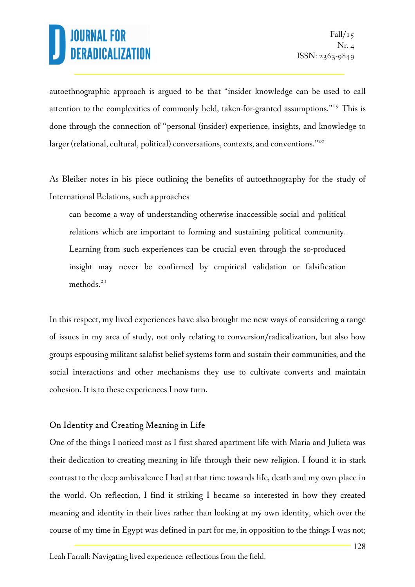autoethnographic approach is argued to be that "insider knowledge can be used to call attention to the complexities of commonly held, taken-for-granted assumptions."<sup>19</sup> This is done through the connection of "personal (insider) experience, insights, and knowledge to larger (relational, cultural, political) conversations, contexts, and conventions."<sup>20</sup>

As Bleiker notes in his piece outlining the benefits of autoethnography for the study of International Relations, such approaches

can become a way of understanding otherwise inaccessible social and political relations which are important to forming and sustaining political community. Learning from such experiences can be crucial even through the so-produced insight may never be confirmed by empirical validation or falsification methods.<sup>21</sup>

In this respect, my lived experiences have also brought me new ways of considering a range of issues in my area of study, not only relating to conversion/radicalization, but also how groups espousing militant salafist belief systems form and sustain their communities, and the social interactions and other mechanisms they use to cultivate converts and maintain cohesion. It is to these experiences I now turn.

#### On Identity and Creating Meaning in Life

One of the things I noticed most as I first shared apartment life with Maria and Julieta was their dedication to creating meaning in life through their new religion. I found it in stark contrast to the deep ambivalence I had at that time towards life, death and my own place in the world. On reflection, I find it striking I became so interested in how they created meaning and identity in their lives rather than looking at my own identity, which over the course of my time in Egypt was defined in part for me, in opposition to the things I was not;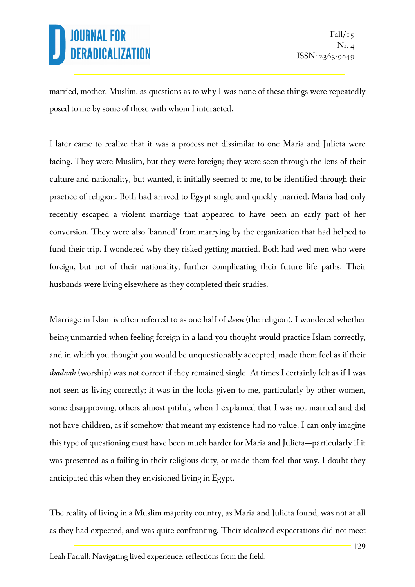married, mother, Muslim, as questions as to why I was none of these things were repeatedly posed to me by some of those with whom I interacted.

I later came to realize that it was a process not dissimilar to one Maria and Julieta were facing. They were Muslim, but they were foreign; they were seen through the lens of their culture and nationality, but wanted, it initially seemed to me, to be identified through their practice of religion. Both had arrived to Egypt single and quickly married. Maria had only recently escaped a violent marriage that appeared to have been an early part of her conversion. They were also 'banned' from marrying by the organization that had helped to fund their trip. I wondered why they risked getting married. Both had wed men who were foreign, but not of their nationality, further complicating their future life paths. Their husbands were living elsewhere as they completed their studies.

Marriage in Islam is often referred to as one half of *deen* (the religion). I wondered whether being unmarried when feeling foreign in a land you thought would practice Islam correctly, and in which you thought you would be unquestionably accepted, made them feel as if their *ibadaah* (worship) was not correct if they remained single. At times I certainly felt as if I was not seen as living correctly; it was in the looks given to me, particularly by other women, some disapproving, others almost pitiful, when I explained that I was not married and did not have children, as if somehow that meant my existence had no value. I can only imagine this type of questioning must have been much harder for Maria and Julieta—particularly if it was presented as a failing in their religious duty, or made them feel that way. I doubt they anticipated this when they envisioned living in Egypt.

The reality of living in a Muslim majority country, as Maria and Julieta found, was not at all as they had expected, and was quite confronting. Their idealized expectations did not meet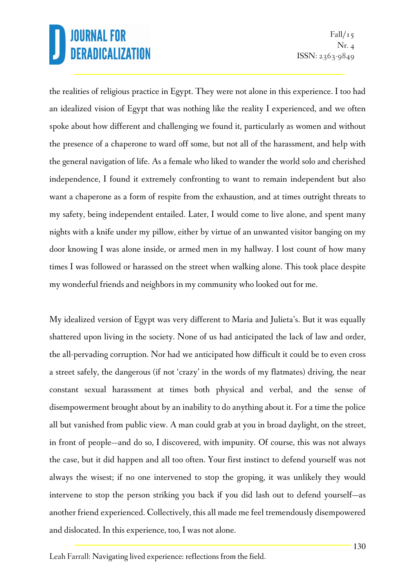the realities of religious practice in Egypt. They were not alone in this experience. I too had an idealized vision of Egypt that was nothing like the reality I experienced, and we often spoke about how different and challenging we found it, particularly as women and without the presence of a chaperone to ward off some, but not all of the harassment, and help with the general navigation of life. As a female who liked to wander the world solo and cherished independence, I found it extremely confronting to want to remain independent but also want a chaperone as a form of respite from the exhaustion, and at times outright threats to my safety, being independent entailed. Later, I would come to live alone, and spent many nights with a knife under my pillow, either by virtue of an unwanted visitor banging on my door knowing I was alone inside, or armed men in my hallway. I lost count of how many times I was followed or harassed on the street when walking alone. This took place despite my wonderful friends and neighbors in my community who looked out for me.

My idealized version of Egypt was very different to Maria and Julieta's. But it was equally shattered upon living in the society. None of us had anticipated the lack of law and order, the all-pervading corruption. Nor had we anticipated how difficult it could be to even cross a street safely, the dangerous (if not 'crazy' in the words of my flatmates) driving, the near constant sexual harassment at times both physical and verbal, and the sense of disempowerment brought about by an inability to do anything about it. For a time the police all but vanished from public view. A man could grab at you in broad daylight, on the street, in front of people—and do so, I discovered, with impunity. Of course, this was not always the case, but it did happen and all too often. Your first instinct to defend yourself was not always the wisest; if no one intervened to stop the groping, it was unlikely they would intervene to stop the person striking you back if you did lash out to defend yourself—as another friend experienced. Collectively, this all made me feel tremendously disempowered and dislocated. In this experience, too, I was not alone.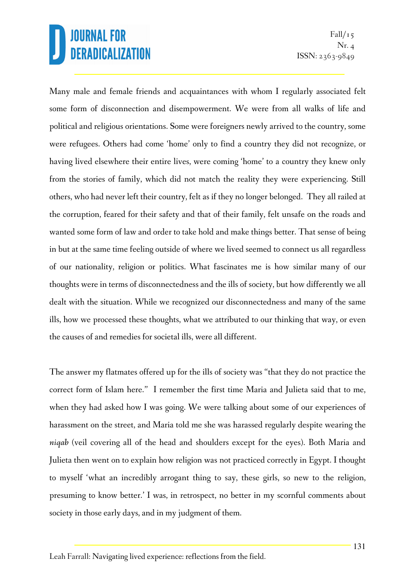Many male and female friends and acquaintances with whom I regularly associated felt some form of disconnection and disempowerment. We were from all walks of life and political and religious orientations. Some were foreigners newly arrived to the country, some were refugees. Others had come 'home' only to find a country they did not recognize, or having lived elsewhere their entire lives, were coming 'home' to a country they knew only from the stories of family, which did not match the reality they were experiencing. Still others, who had never left their country, felt as if they no longer belonged. They all railed at the corruption, feared for their safety and that of their family, felt unsafe on the roads and wanted some form of law and order to take hold and make things better. That sense of being in but at the same time feeling outside of where we lived seemed to connect us all regardless of our nationality, religion or politics. What fascinates me is how similar many of our thoughts were in terms of disconnectedness and the ills of society, but how differently we all dealt with the situation. While we recognized our disconnectedness and many of the same ills, how we processed these thoughts, what we attributed to our thinking that way, or even the causes of and remedies for societal ills, were all different.

The answer my flatmates offered up for the ills of society was "that they do not practice the correct form of Islam here." I remember the first time Maria and Julieta said that to me, when they had asked how I was going. We were talking about some of our experiences of harassment on the street, and Maria told me she was harassed regularly despite wearing the *niqab* (veil covering all of the head and shoulders except for the eyes). Both Maria and Julieta then went on to explain how religion was not practiced correctly in Egypt. I thought to myself 'what an incredibly arrogant thing to say, these girls, so new to the religion, presuming to know better.' I was, in retrospect, no better in my scornful comments about society in those early days, and in my judgment of them.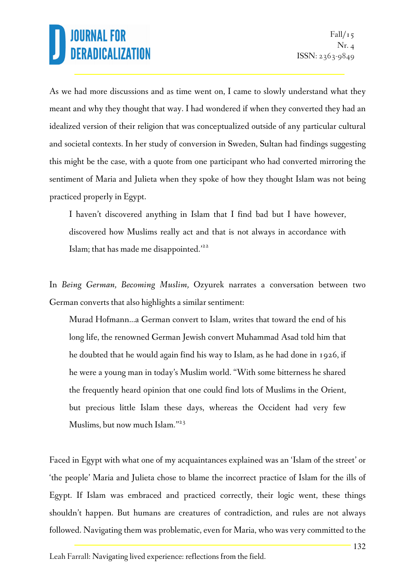As we had more discussions and as time went on, I came to slowly understand what they meant and why they thought that way. I had wondered if when they converted they had an idealized version of their religion that was conceptualized outside of any particular cultural and societal contexts. In her study of conversion in Sweden, Sultan had findings suggesting this might be the case, with a quote from one participant who had converted mirroring the sentiment of Maria and Julieta when they spoke of how they thought Islam was not being practiced properly in Egypt.

I haven't discovered anything in Islam that I find bad but I have however, discovered how Muslims really act and that is not always in accordance with Islam; that has made me disappointed.<sup>'22</sup>

In *Being German, Becoming Muslim,* Ozyurek narrates a conversation between two German converts that also highlights a similar sentiment:

Murad Hofmann…a German convert to Islam, writes that toward the end of his long life, the renowned German Jewish convert Muhammad Asad told him that he doubted that he would again find his way to Islam, as he had done in 1926, if he were a young man in today's Muslim world. "With some bitterness he shared the frequently heard opinion that one could find lots of Muslims in the Orient, but precious little Islam these days, whereas the Occident had very few Muslims, but now much Islam."<sup>23</sup>

Faced in Egypt with what one of my acquaintances explained was an 'Islam of the street' or 'the people' Maria and Julieta chose to blame the incorrect practice of Islam for the ills of Egypt. If Islam was embraced and practiced correctly, their logic went, these things shouldn't happen. But humans are creatures of contradiction, and rules are not always followed. Navigating them was problematic, even for Maria, who was very committed to the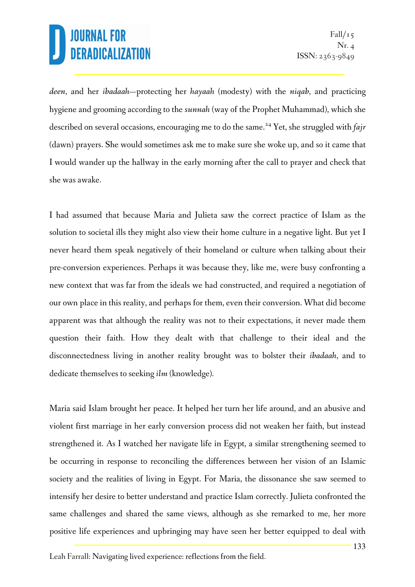*deen*, and her *ibadaah*—protecting her *hayaah* (modesty) with the *niqab*, and practicing hygiene and grooming according to the *sunnah* (way of the Prophet Muhammad), which she described on several occasions, encouraging me to do the same.<sup>24</sup> Yet, she struggled with *fajr* (dawn) prayers. She would sometimes ask me to make sure she woke up, and so it came that I would wander up the hallway in the early morning after the call to prayer and check that she was awake.

I had assumed that because Maria and Julieta saw the correct practice of Islam as the solution to societal ills they might also view their home culture in a negative light. But yet I never heard them speak negatively of their homeland or culture when talking about their pre-conversion experiences. Perhaps it was because they, like me, were busy confronting a new context that was far from the ideals we had constructed, and required a negotiation of our own place in this reality, and perhaps for them, even their conversion. What did become apparent was that although the reality was not to their expectations, it never made them question their faith. How they dealt with that challenge to their ideal and the disconnectedness living in another reality brought was to bolster their *ibadaah*, and to dedicate themselves to seeking *ilm* (knowledge).

Maria said Islam brought her peace. It helped her turn her life around, and an abusive and violent first marriage in her early conversion process did not weaken her faith, but instead strengthened it. As I watched her navigate life in Egypt, a similar strengthening seemed to be occurring in response to reconciling the differences between her vision of an Islamic society and the realities of living in Egypt. For Maria, the dissonance she saw seemed to intensify her desire to better understand and practice Islam correctly. Julieta confronted the same challenges and shared the same views, although as she remarked to me, her more positive life experiences and upbringing may have seen her better equipped to deal with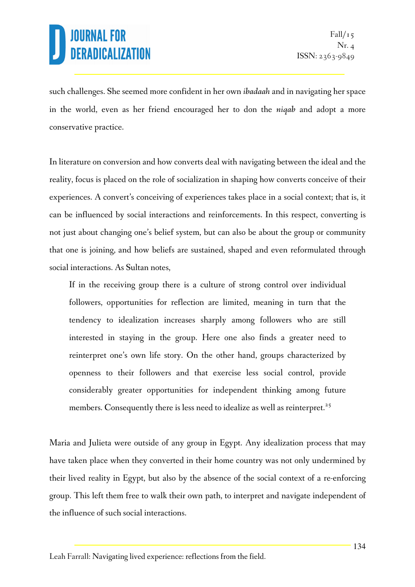such challenges. She seemed more confident in her own *ibadaah* and in navigating her space in the world, even as her friend encouraged her to don the *niqab* and adopt a more conservative practice.

In literature on conversion and how converts deal with navigating between the ideal and the reality, focus is placed on the role of socialization in shaping how converts conceive of their experiences. A convert's conceiving of experiences takes place in a social context; that is, it can be influenced by social interactions and reinforcements. In this respect, converting is not just about changing one's belief system, but can also be about the group or community that one is joining, and how beliefs are sustained, shaped and even reformulated through social interactions. As Sultan notes,

If in the receiving group there is a culture of strong control over individual followers, opportunities for reflection are limited, meaning in turn that the tendency to idealization increases sharply among followers who are still interested in staying in the group. Here one also finds a greater need to reinterpret one's own life story. On the other hand, groups characterized by openness to their followers and that exercise less social control, provide considerably greater opportunities for independent thinking among future members. Consequently there is less need to idealize as well as reinterpret.<sup>25</sup>

Maria and Julieta were outside of any group in Egypt. Any idealization process that may have taken place when they converted in their home country was not only undermined by their lived reality in Egypt, but also by the absence of the social context of a re-enforcing group. This left them free to walk their own path, to interpret and navigate independent of the influence of such social interactions.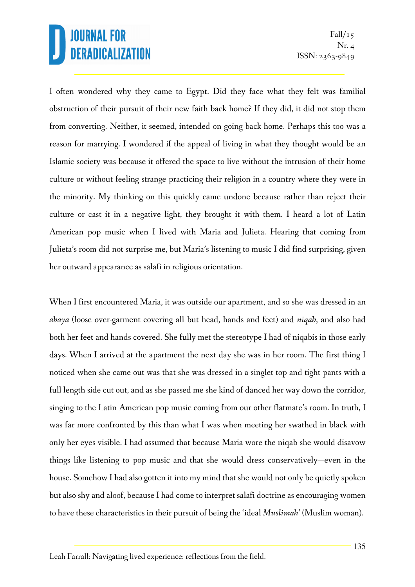I often wondered why they came to Egypt. Did they face what they felt was familial obstruction of their pursuit of their new faith back home? If they did, it did not stop them from converting. Neither, it seemed, intended on going back home. Perhaps this too was a reason for marrying. I wondered if the appeal of living in what they thought would be an Islamic society was because it offered the space to live without the intrusion of their home culture or without feeling strange practicing their religion in a country where they were in the minority. My thinking on this quickly came undone because rather than reject their culture or cast it in a negative light, they brought it with them. I heard a lot of Latin American pop music when I lived with Maria and Julieta. Hearing that coming from Julieta's room did not surprise me, but Maria's listening to music I did find surprising, given her outward appearance as salafi in religious orientation.

When I first encountered Maria, it was outside our apartment, and so she was dressed in an *abaya* (loose over-garment covering all but head, hands and feet) and *niqab*, and also had both her feet and hands covered. She fully met the stereotype I had of niqabis in those early days. When I arrived at the apartment the next day she was in her room. The first thing I noticed when she came out was that she was dressed in a singlet top and tight pants with a full length side cut out, and as she passed me she kind of danced her way down the corridor, singing to the Latin American pop music coming from our other flatmate's room. In truth, I was far more confronted by this than what I was when meeting her swathed in black with only her eyes visible. I had assumed that because Maria wore the niqab she would disavow things like listening to pop music and that she would dress conservatively—even in the house. Somehow I had also gotten it into my mind that she would not only be quietly spoken but also shy and aloof, because I had come to interpret salafi doctrine as encouraging women to have these characteristics in their pursuit of being the 'ideal *Muslimah*' (Muslim woman).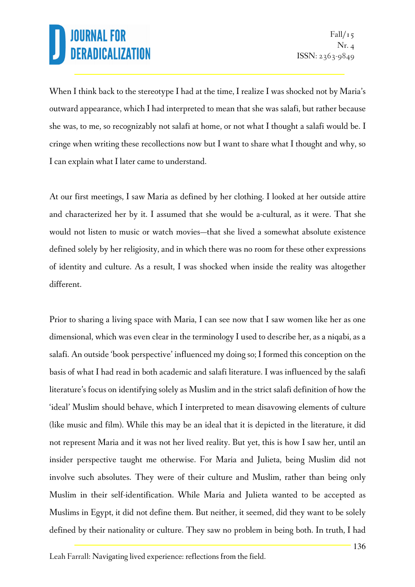When I think back to the stereotype I had at the time, I realize I was shocked not by Maria's outward appearance, which I had interpreted to mean that she was salafi, but rather because she was, to me, so recognizably not salafi at home, or not what I thought a salafi would be. I cringe when writing these recollections now but I want to share what I thought and why, so I can explain what I later came to understand.

At our first meetings, I saw Maria as defined by her clothing. I looked at her outside attire and characterized her by it. I assumed that she would be a-cultural, as it were. That she would not listen to music or watch movies—that she lived a somewhat absolute existence defined solely by her religiosity, and in which there was no room for these other expressions of identity and culture. As a result, I was shocked when inside the reality was altogether different.

Prior to sharing a living space with Maria, I can see now that I saw women like her as one dimensional, which was even clear in the terminology I used to describe her, as a niqabi, as a salafi. An outside 'book perspective' influenced my doing so; I formed this conception on the basis of what I had read in both academic and salafi literature. I was influenced by the salafi literature's focus on identifying solely as Muslim and in the strict salafi definition of how the 'ideal' Muslim should behave, which I interpreted to mean disavowing elements of culture (like music and film). While this may be an ideal that it is depicted in the literature, it did not represent Maria and it was not her lived reality. But yet, this is how I saw her, until an insider perspective taught me otherwise. For Maria and Julieta, being Muslim did not involve such absolutes. They were of their culture and Muslim, rather than being only Muslim in their self-identification. While Maria and Julieta wanted to be accepted as Muslims in Egypt, it did not define them. But neither, it seemed, did they want to be solely defined by their nationality or culture. They saw no problem in being both. In truth, I had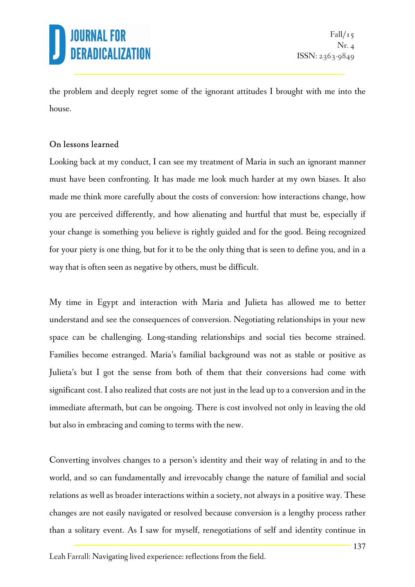

the problem and deeply regret some of the ignorant attitudes I brought with me into the house.

#### On lessons learned

Looking back at my conduct, I can see my treatment of Maria in such an ignorant manner must have been confronting. It has made me look much harder at my own biases. It also made me think more carefully about the costs of conversion: how interactions change, how you are perceived differently, and how alienating and hurtful that must be, especially if your change is something you believe is rightly guided and for the good. Being recognized for your piety is one thing, but for it to be the only thing that is seen to define you, and in a way that is often seen as negative by others, must be difficult.

My time in Egypt and interaction with Maria and Julieta has allowed me to better understand and see the consequences of conversion. Negotiating relationships in your new space can be challenging. Long-standing relationships and social ties become strained. Families become estranged. Maria's familial background was not as stable or positive as Julieta's but I got the sense from both of them that their conversions had come with significant cost. I also realized that costs are not just in the lead up to a conversion and in the immediate aftermath, but can be ongoing. There is cost involved not only in leaving the old but also in embracing and coming to terms with the new.

Converting involves changes to a person's identity and their way of relating in and to the world, and so can fundamentally and irrevocably change the nature of familial and social relations as well as broader interactions within a society, not always in a positive way. These changes are not easily navigated or resolved because conversion is a lengthy process rather than a solitary event. As I saw for myself, renegotiations of self and identity continue in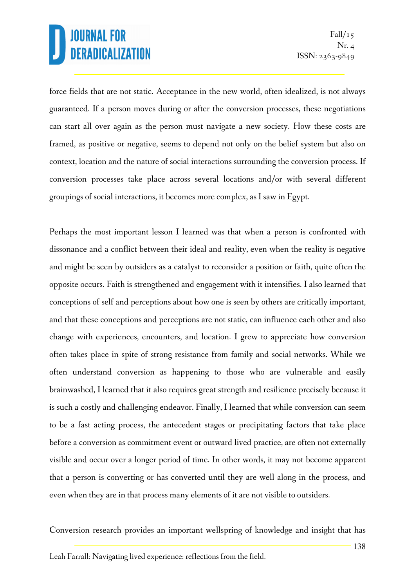force fields that are not static. Acceptance in the new world, often idealized, is not always guaranteed. If a person moves during or after the conversion processes, these negotiations can start all over again as the person must navigate a new society. How these costs are framed, as positive or negative, seems to depend not only on the belief system but also on context, location and the nature of social interactions surrounding the conversion process. If conversion processes take place across several locations and/or with several different groupings of social interactions, it becomes more complex, as I saw in Egypt.

Perhaps the most important lesson I learned was that when a person is confronted with dissonance and a conflict between their ideal and reality, even when the reality is negative and might be seen by outsiders as a catalyst to reconsider a position or faith, quite often the opposite occurs. Faith is strengthened and engagement with it intensifies. I also learned that conceptions of self and perceptions about how one is seen by others are critically important, and that these conceptions and perceptions are not static, can influence each other and also change with experiences, encounters, and location. I grew to appreciate how conversion often takes place in spite of strong resistance from family and social networks. While we often understand conversion as happening to those who are vulnerable and easily brainwashed, I learned that it also requires great strength and resilience precisely because it is such a costly and challenging endeavor. Finally, I learned that while conversion can seem to be a fast acting process, the antecedent stages or precipitating factors that take place before a conversion as commitment event or outward lived practice, are often not externally visible and occur over a longer period of time. In other words, it may not become apparent that a person is converting or has converted until they are well along in the process, and even when they are in that process many elements of it are not visible to outsiders.

Conversion research provides an important wellspring of knowledge and insight that has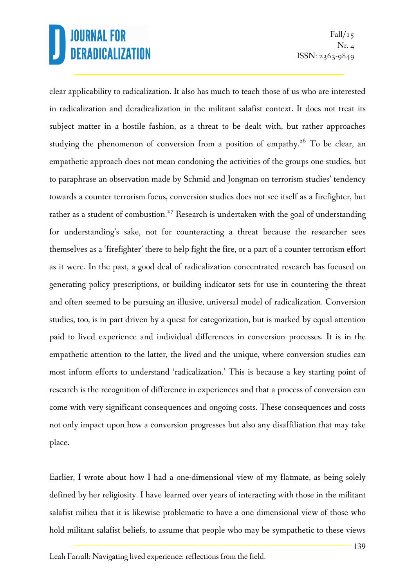$Fall/15$  $Nr_{\cdot}$  4 ISSN: 2363-9849

clear applicability to radicalization. It also has much to teach those of us who are interested in radicalization and deradicalization in the militant salafist context. It does not treat its subject matter in a hostile fashion, as a threat to be dealt with, but rather approaches studying the phenomenon of conversion from a position of empathy.<sup>26</sup> To be clear, an empathetic approach does not mean condoning the activities of the groups one studies, but to paraphrase an observation made by Schmid and Jongman on terrorism studies' tendency towards a counter terrorism focus, conversion studies does not see itself as a firefighter, but rather as a student of combustion.<sup>27</sup> Research is undertaken with the goal of understanding for understanding's sake, not for counteracting a threat because the researcher sees themselves as a 'firefighter' there to help fight the fire, or a part of a counter terrorism effort as it were. In the past, a good deal of radicalization concentrated research has focused on generating policy prescriptions, or building indicator sets for use in countering the threat and often seemed to be pursuing an illusive, universal model of radicalization. Conversion studies, too, is in part driven by a quest for categorization, but is marked by equal attention paid to lived experience and individual differences in conversion processes. It is in the empathetic attention to the latter, the lived and the unique, where conversion studies can most inform efforts to understand 'radicalization.' This is because a key starting point of research is the recognition of difference in experiences and that a process of conversion can come with very significant consequences and ongoing costs. These consequences and costs not only impact upon how a conversion progresses but also any disaffiliation that may take place.

Earlier, I wrote about how I had a one-dimensional view of my flatmate, as being solely defined by her religiosity. I have learned over years of interacting with those in the militant salafist milieu that it is likewise problematic to have a one dimensional view of those who hold militant salafist beliefs, to assume that people who may be sympathetic to these views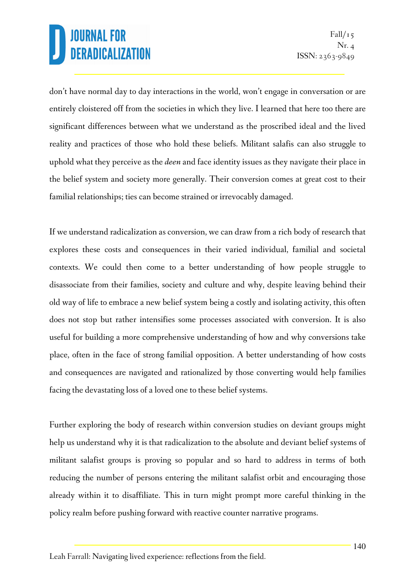don't have normal day to day interactions in the world, won't engage in conversation or are entirely cloistered off from the societies in which they live. I learned that here too there are significant differences between what we understand as the proscribed ideal and the lived reality and practices of those who hold these beliefs. Militant salafis can also struggle to uphold what they perceive as the *deen* and face identity issues as they navigate their place in the belief system and society more generally. Their conversion comes at great cost to their familial relationships; ties can become strained or irrevocably damaged.

If we understand radicalization as conversion, we can draw from a rich body of research that explores these costs and consequences in their varied individual, familial and societal contexts. We could then come to a better understanding of how people struggle to disassociate from their families, society and culture and why, despite leaving behind their old way of life to embrace a new belief system being a costly and isolating activity, this often does not stop but rather intensifies some processes associated with conversion. It is also useful for building a more comprehensive understanding of how and why conversions take place, often in the face of strong familial opposition. A better understanding of how costs and consequences are navigated and rationalized by those converting would help families facing the devastating loss of a loved one to these belief systems.

Further exploring the body of research within conversion studies on deviant groups might help us understand why it is that radicalization to the absolute and deviant belief systems of militant salafist groups is proving so popular and so hard to address in terms of both reducing the number of persons entering the militant salafist orbit and encouraging those already within it to disaffiliate. This in turn might prompt more careful thinking in the policy realm before pushing forward with reactive counter narrative programs.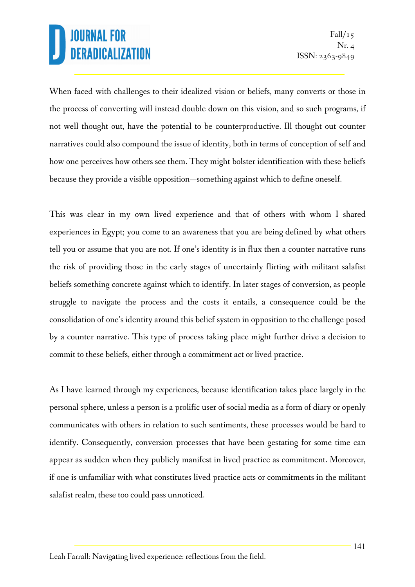When faced with challenges to their idealized vision or beliefs, many converts or those in the process of converting will instead double down on this vision, and so such programs, if not well thought out, have the potential to be counterproductive. Ill thought out counter narratives could also compound the issue of identity, both in terms of conception of self and how one perceives how others see them. They might bolster identification with these beliefs because they provide a visible opposition—something against which to define oneself.

This was clear in my own lived experience and that of others with whom I shared experiences in Egypt; you come to an awareness that you are being defined by what others tell you or assume that you are not. If one's identity is in flux then a counter narrative runs the risk of providing those in the early stages of uncertainly flirting with militant salafist beliefs something concrete against which to identify. In later stages of conversion, as people struggle to navigate the process and the costs it entails, a consequence could be the consolidation of one's identity around this belief system in opposition to the challenge posed by a counter narrative. This type of process taking place might further drive a decision to commit to these beliefs, either through a commitment act or lived practice.

As I have learned through my experiences, because identification takes place largely in the personal sphere, unless a person is a prolific user of social media as a form of diary or openly communicates with others in relation to such sentiments, these processes would be hard to identify. Consequently, conversion processes that have been gestating for some time can appear as sudden when they publicly manifest in lived practice as commitment. Moreover, if one is unfamiliar with what constitutes lived practice acts or commitments in the militant salafist realm, these too could pass unnoticed.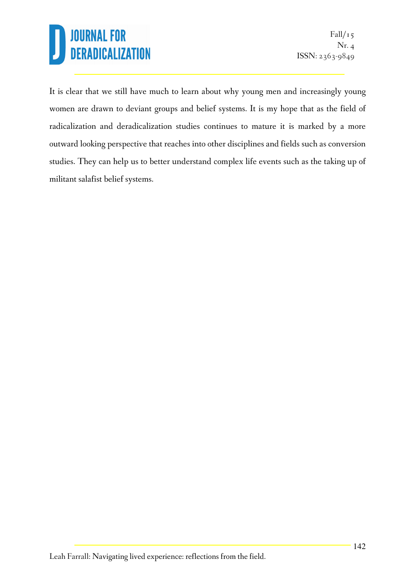It is clear that we still have much to learn about why young men and increasingly young women are drawn to deviant groups and belief systems. It is my hope that as the field of radicalization and deradicalization studies continues to mature it is marked by a more outward looking perspective that reaches into other disciplines and fields such as conversion studies. They can help us to better understand complex life events such as the taking up of militant salafist belief systems.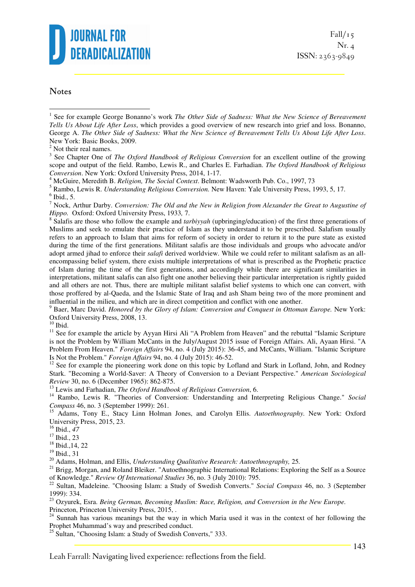

#### **Notes**

 $\overline{a}$ 

<sup>3</sup> See Chapter One of *The Oxford Handbook of Religious Conversion* for an excellent outline of the growing scope and output of the field. Rambo, Lewis R., and Charles E. Farhadian. *The Oxford Handbook of Religious Conversion*. New York: Oxford University Press, 2014, 1-17.

4 McGuire, Meredith B. *Religion, The Social Context*. Belmont: Wadsworth Pub. Co., 1997, 73

5 Rambo, Lewis R. *Understanding Religious Conversion.* New Haven: Yale University Press, 1993, 5, 17.

7 Nock, Arthur Darby. *Conversion: The Old and the New in Religion from Alexander the Great to Augustine of Hippo.* Oxford: Oxford University Press, 1933*,* 7.

8 Salafis are those who follow the example and *tarbiyyah* (upbringing/education) of the first three generations of Muslims and seek to emulate their practice of Islam as they understand it to be prescribed. Salafism usually refers to an approach to Islam that aims for reform of society in order to return it to the pure state as existed during the time of the first generations. Militant salafis are those individuals and groups who advocate and/or adopt armed jihad to enforce their *salafi* derived worldview. While we could refer to militant salafism as an allencompassing belief system, there exists multiple interpretations of what is prescribed as the Prophetic practice of Islam during the time of the first generations, and accordingly while there are significant similarities in interpretations, militant salafis can also fight one another believing their particular interpretation is rightly guided and all others are not. Thus, there are multiple militant salafist belief systems to which one can convert, with those proffered by al-Qaeda, and the Islamic State of Iraq and ash Sham being two of the more prominent and influential in the milieu, and which are in direct competition and conflict with one another.

9 Baer, Marc David. *Honored by the Glory of Islam: Conversion and Conquest in Ottoman Europe.* New York: Oxford University Press, 2008, 13.

 $10$  Ibid.

<sup>11</sup> See for example the article by Ayyan Hirsi Ali "A Problem from Heaven" and the rebuttal "Islamic Scripture is not the Problem by William McCants in the July/August 2015 issue of Foreign Affairs. Ali, Ayaan Hirsi. "A Problem From Heaven." *Foreign Affairs* 94, no. 4 (July 2015): 36-45, and McCants, William. "Islamic Scripture Is Not the Problem." *Foreign Affairs* 94, no. 4 (July 2015): 46-52.

<sup>12</sup> See for example the pioneering work done on this topic by Lofland and Stark in Lofland, John, and Rodney Stark. "Becoming a World-Saver: A Theory of Conversion to a Deviant Perspective." *American Sociological Review* 30, no. 6 (December 1965): 862-875.

<sup>13</sup> Lewis and Farhadian, *The Oxford Handbook of Religious Conversion*, 6.

<sup>14</sup> Rambo, Lewis R. "Theories of Conversion: Understanding and Interpreting Religious Change." *Social Compass* 46, no. 3 (September 1999): 261.

<sup>15</sup> Adams, Tony E., Stacy Linn Holman Jones, and Carolyn Ellis. *Autoethnography.* New York: Oxford University Press, 2015, 23.

<sup>16</sup> Ibid., *47* 

<sup>17</sup> Ibid., 23

<sup>18</sup> Ibid.,14, 22

 $19$  Ibid.,  $31$ 

<sup>20</sup> Adams, Holman, and Ellis, *Understanding Qualitative Research: Autoethnography,* 25*.* 

<sup>21</sup> Brigg, Morgan, and Roland Bleiker. "Autoethnographic International Relations: Exploring the Self as a Source of Knowledge." *Review Of International Studies* 36, no. 3 (July 2010): 795.

<sup>22</sup> Sultan, Madeleine. "Choosing Islam: a Study of Swedish Converts." *Social Compass* 46, no. 3 (September 1999): 334.

<sup>23</sup> Ozyurek, Esra. *Being German, Becoming Muslim: Race, Religion, and Conversion in the New Europe.* Princeton, Princeton University Press, 2015, .

 $24$  Sunnah has various meanings but the way in which Maria used it was in the context of her following the Prophet Muhammad's way and prescribed conduct.

<sup>25</sup> Sultan, "Choosing Islam: a Study of Swedish Converts," 333.

<sup>&</sup>lt;sup>1</sup> See for example George Bonanno's work *The Other Side of Sadness: What the New Science of Bereavement Tells Us About Life After Loss*, which provides a good overview of new research into grief and loss. Bonanno, George A. *The Other Side of Sadness: What the New Science of Bereavement Tells Us About Life After Loss*. New York: Basic Books, 2009.

<sup>&</sup>lt;sup>2</sup> Not their real names.

 $<sup>6</sup>$  Ibid., 5.</sup>